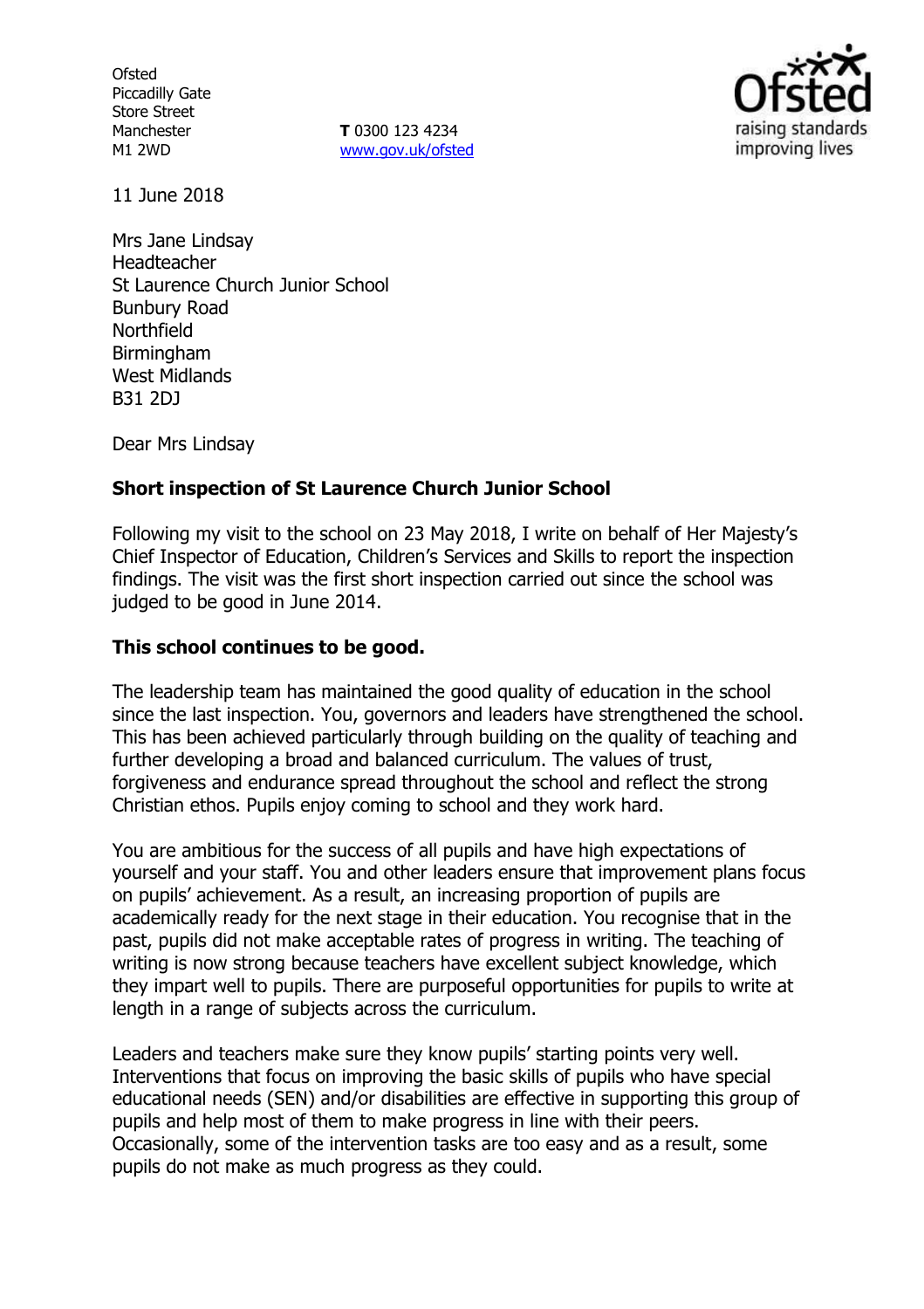**Ofsted** Piccadilly Gate Store Street Manchester M1 2WD

**T** 0300 123 4234 www.gov.uk/ofsted



11 June 2018

Mrs Jane Lindsay Headteacher St Laurence Church Junior School Bunbury Road Northfield **Birmingham** West Midlands B31 2DJ

Dear Mrs Lindsay

# **Short inspection of St Laurence Church Junior School**

Following my visit to the school on 23 May 2018, I write on behalf of Her Majesty's Chief Inspector of Education, Children's Services and Skills to report the inspection findings. The visit was the first short inspection carried out since the school was judged to be good in June 2014.

# **This school continues to be good.**

The leadership team has maintained the good quality of education in the school since the last inspection. You, governors and leaders have strengthened the school. This has been achieved particularly through building on the quality of teaching and further developing a broad and balanced curriculum. The values of trust, forgiveness and endurance spread throughout the school and reflect the strong Christian ethos. Pupils enjoy coming to school and they work hard.

You are ambitious for the success of all pupils and have high expectations of yourself and your staff. You and other leaders ensure that improvement plans focus on pupils' achievement. As a result, an increasing proportion of pupils are academically ready for the next stage in their education. You recognise that in the past, pupils did not make acceptable rates of progress in writing. The teaching of writing is now strong because teachers have excellent subject knowledge, which they impart well to pupils. There are purposeful opportunities for pupils to write at length in a range of subjects across the curriculum.

Leaders and teachers make sure they know pupils' starting points very well. Interventions that focus on improving the basic skills of pupils who have special educational needs (SEN) and/or disabilities are effective in supporting this group of pupils and help most of them to make progress in line with their peers. Occasionally, some of the intervention tasks are too easy and as a result, some pupils do not make as much progress as they could.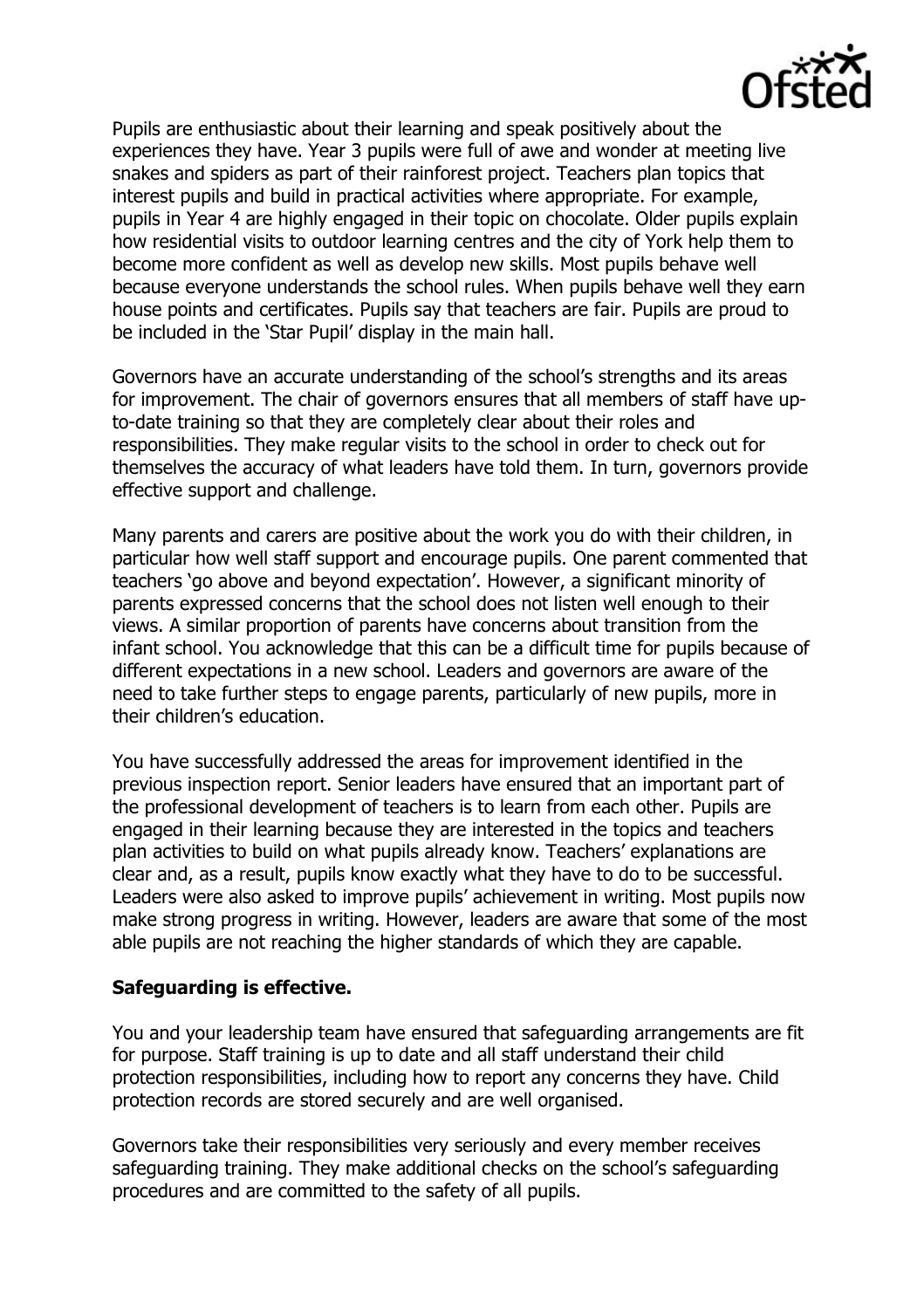

Pupils are enthusiastic about their learning and speak positively about the experiences they have. Year 3 pupils were full of awe and wonder at meeting live snakes and spiders as part of their rainforest project. Teachers plan topics that interest pupils and build in practical activities where appropriate. For example, pupils in Year 4 are highly engaged in their topic on chocolate. Older pupils explain how residential visits to outdoor learning centres and the city of York help them to become more confident as well as develop new skills. Most pupils behave well because everyone understands the school rules. When pupils behave well they earn house points and certificates. Pupils say that teachers are fair. Pupils are proud to be included in the 'Star Pupil' display in the main hall.

Governors have an accurate understanding of the school's strengths and its areas for improvement. The chair of governors ensures that all members of staff have upto-date training so that they are completely clear about their roles and responsibilities. They make regular visits to the school in order to check out for themselves the accuracy of what leaders have told them. In turn, governors provide effective support and challenge.

Many parents and carers are positive about the work you do with their children, in particular how well staff support and encourage pupils. One parent commented that teachers 'go above and beyond expectation'. However, a significant minority of parents expressed concerns that the school does not listen well enough to their views. A similar proportion of parents have concerns about transition from the infant school. You acknowledge that this can be a difficult time for pupils because of different expectations in a new school. Leaders and governors are aware of the need to take further steps to engage parents, particularly of new pupils, more in their children's education.

You have successfully addressed the areas for improvement identified in the previous inspection report. Senior leaders have ensured that an important part of the professional development of teachers is to learn from each other. Pupils are engaged in their learning because they are interested in the topics and teachers plan activities to build on what pupils already know. Teachers' explanations are clear and, as a result, pupils know exactly what they have to do to be successful. Leaders were also asked to improve pupils' achievement in writing. Most pupils now make strong progress in writing. However, leaders are aware that some of the most able pupils are not reaching the higher standards of which they are capable.

#### **Safeguarding is effective.**

You and your leadership team have ensured that safeguarding arrangements are fit for purpose. Staff training is up to date and all staff understand their child protection responsibilities, including how to report any concerns they have. Child protection records are stored securely and are well organised.

Governors take their responsibilities very seriously and every member receives safeguarding training. They make additional checks on the school's safeguarding procedures and are committed to the safety of all pupils.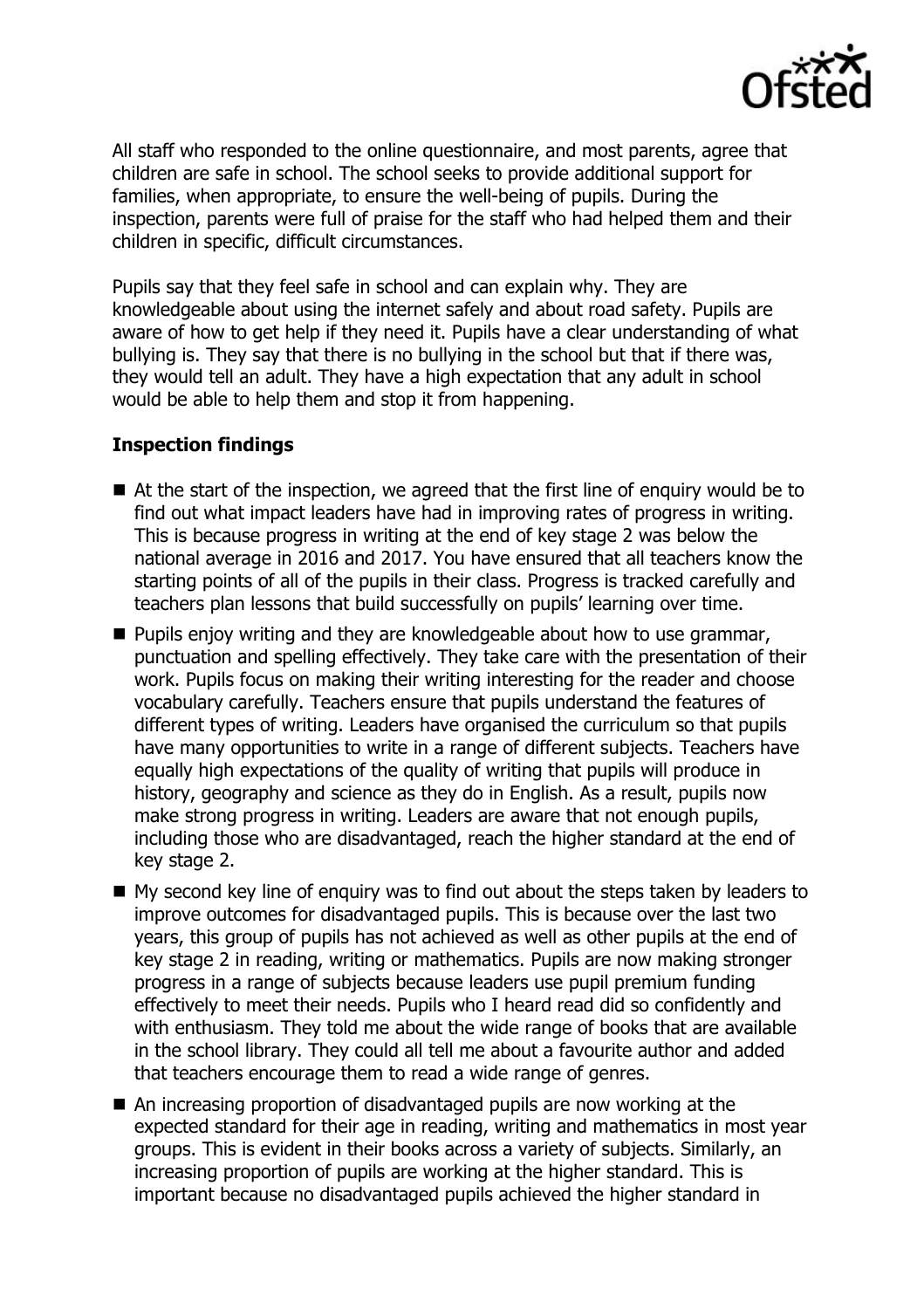

All staff who responded to the online questionnaire, and most parents, agree that children are safe in school. The school seeks to provide additional support for families, when appropriate, to ensure the well-being of pupils. During the inspection, parents were full of praise for the staff who had helped them and their children in specific, difficult circumstances.

Pupils say that they feel safe in school and can explain why. They are knowledgeable about using the internet safely and about road safety. Pupils are aware of how to get help if they need it. Pupils have a clear understanding of what bullying is. They say that there is no bullying in the school but that if there was, they would tell an adult. They have a high expectation that any adult in school would be able to help them and stop it from happening.

## **Inspection findings**

- At the start of the inspection, we agreed that the first line of enguiry would be to find out what impact leaders have had in improving rates of progress in writing. This is because progress in writing at the end of key stage 2 was below the national average in 2016 and 2017. You have ensured that all teachers know the starting points of all of the pupils in their class. Progress is tracked carefully and teachers plan lessons that build successfully on pupils' learning over time.
- **Pupils enjoy writing and they are knowledgeable about how to use grammar,** punctuation and spelling effectively. They take care with the presentation of their work. Pupils focus on making their writing interesting for the reader and choose vocabulary carefully. Teachers ensure that pupils understand the features of different types of writing. Leaders have organised the curriculum so that pupils have many opportunities to write in a range of different subjects. Teachers have equally high expectations of the quality of writing that pupils will produce in history, geography and science as they do in English. As a result, pupils now make strong progress in writing. Leaders are aware that not enough pupils, including those who are disadvantaged, reach the higher standard at the end of key stage 2.
- My second key line of enquiry was to find out about the steps taken by leaders to improve outcomes for disadvantaged pupils. This is because over the last two years, this group of pupils has not achieved as well as other pupils at the end of key stage 2 in reading, writing or mathematics. Pupils are now making stronger progress in a range of subjects because leaders use pupil premium funding effectively to meet their needs. Pupils who I heard read did so confidently and with enthusiasm. They told me about the wide range of books that are available in the school library. They could all tell me about a favourite author and added that teachers encourage them to read a wide range of genres.
- An increasing proportion of disadvantaged pupils are now working at the expected standard for their age in reading, writing and mathematics in most year groups. This is evident in their books across a variety of subjects. Similarly, an increasing proportion of pupils are working at the higher standard. This is important because no disadvantaged pupils achieved the higher standard in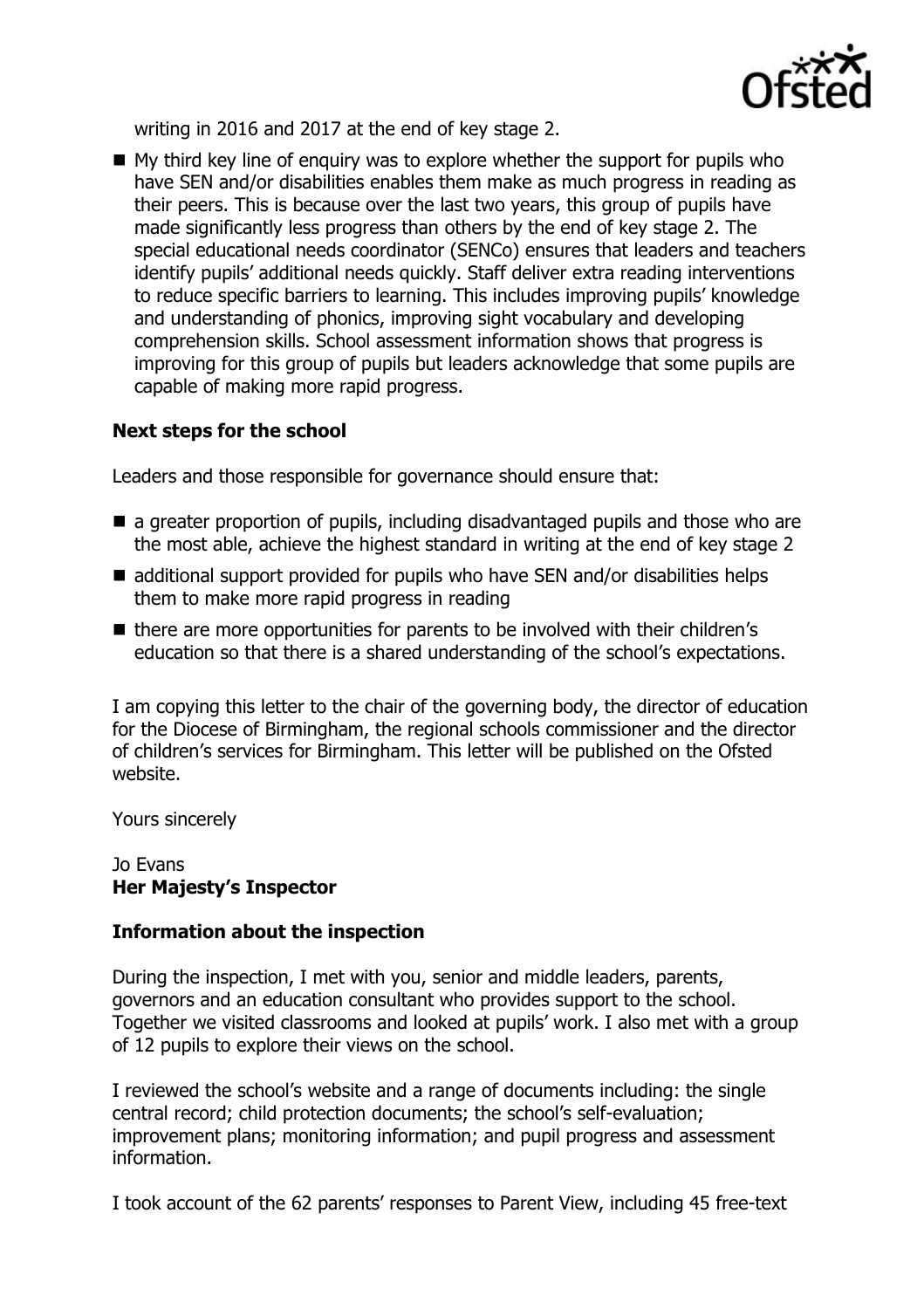

writing in 2016 and 2017 at the end of key stage 2.

 $\blacksquare$  My third key line of enquiry was to explore whether the support for pupils who have SEN and/or disabilities enables them make as much progress in reading as their peers. This is because over the last two years, this group of pupils have made significantly less progress than others by the end of key stage 2. The special educational needs coordinator (SENCo) ensures that leaders and teachers identify pupils' additional needs quickly. Staff deliver extra reading interventions to reduce specific barriers to learning. This includes improving pupils' knowledge and understanding of phonics, improving sight vocabulary and developing comprehension skills. School assessment information shows that progress is improving for this group of pupils but leaders acknowledge that some pupils are capable of making more rapid progress.

# **Next steps for the school**

Leaders and those responsible for governance should ensure that:

- **a** a greater proportion of pupils, including disadvantaged pupils and those who are the most able, achieve the highest standard in writing at the end of key stage 2
- additional support provided for pupils who have SEN and/or disabilities helps them to make more rapid progress in reading
- there are more opportunities for parents to be involved with their children's education so that there is a shared understanding of the school's expectations.

I am copying this letter to the chair of the governing body, the director of education for the Diocese of Birmingham, the regional schools commissioner and the director of children's services for Birmingham. This letter will be published on the Ofsted website.

Yours sincerely

#### Jo Evans **Her Majesty's Inspector**

## **Information about the inspection**

During the inspection, I met with you, senior and middle leaders, parents, governors and an education consultant who provides support to the school. Together we visited classrooms and looked at pupils' work. I also met with a group of 12 pupils to explore their views on the school.

I reviewed the school's website and a range of documents including: the single central record; child protection documents; the school's self-evaluation; improvement plans; monitoring information; and pupil progress and assessment information.

I took account of the 62 parents' responses to Parent View, including 45 free-text